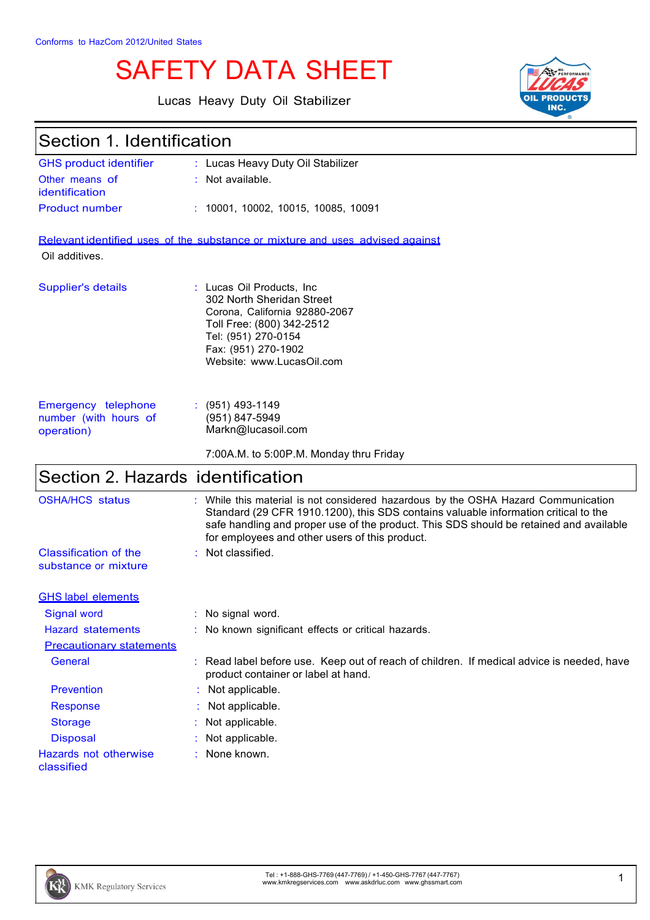# SAFETY DATA SHEET

Lucas Heavy Duty Oil Stabilizer



#### Section 1. Identification GHS product identifier Other means of identification : Lucas Heavy Duty Oil Stabilizer : Not available. Product number : 10001, 10002, 10015, 10085, 10091 Relevant identified uses of the substance or mixture and uses advised against Oil additives. Supplier's details : Lucas Oil Products, Inc. 302 North Sheridan Street Corona, California 92880-2067 Toll Free: (800) 342-2512 Tel: (951) 270-0154 Fax: (951) 270-1902 Website: www.LucasOil.com Emergency telephone number (with hours of operation) : (951) 493-1149 (951) 847-5949 Markn@lucasoil.com 7:00A.M. to 5:00P.M. Monday thru Friday Section 2. Hazards identification OSHA/HCS status : While this material is not considered hazardous by the OSHA Hazard Communication Standard (29 CFR 1910.1200), this SDS contains valuable information critical to the safe handling and proper use of the product. This SDS should be retained and available for employees and other users of this product. Classification of the substance or mixture : Not classified. GHS label elements Signal word : No signal word. Hazard statements : No known significant effects or critical hazards. Precautionary statements General : Read label before use. Keep out of reach of children. If medical advice is needed, have product container or label at hand. Prevention : Not applicable. Response : Not applicable. Storage : Not applicable. Disposal : Not applicable.



classified

Hazards not otherwise

: None known.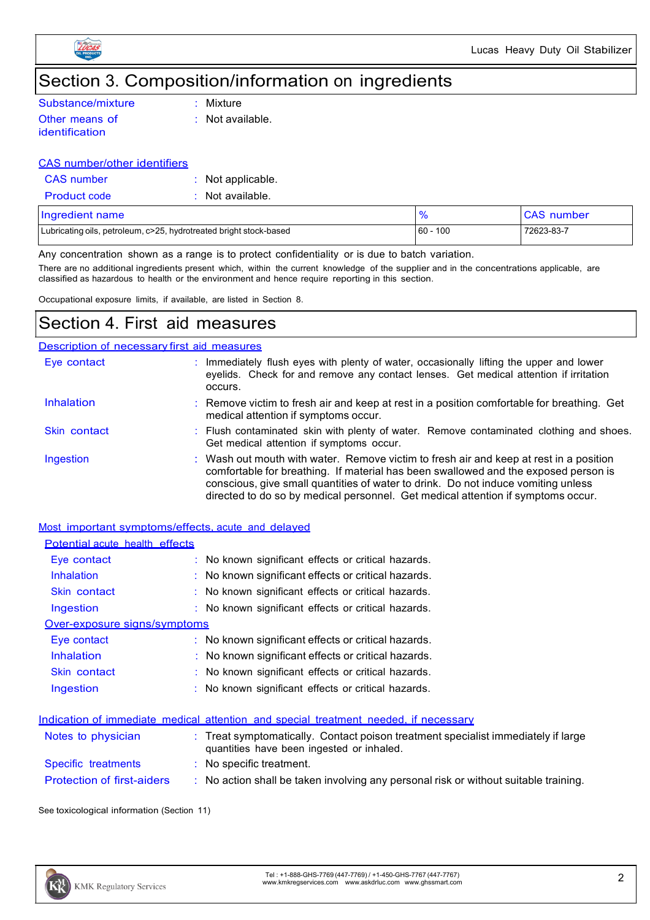

## Section 3. Composition/information on ingredients

| Substance/mixture | $\therefore$ Mixture        |
|-------------------|-----------------------------|
| Other means of    | $\therefore$ Not available. |
| identification    |                             |

#### CAS number/other identifiers

| CAS number          | : Not applicable.  |
|---------------------|--------------------|
| <b>Product code</b> | $:$ Not available. |

| Ingredient name                                                    |               | <b>CAS</b> number |
|--------------------------------------------------------------------|---------------|-------------------|
| Lubricating oils, petroleum, c>25, hydrotreated bright stock-based | 100<br>$60 -$ | 72623-83-7        |

Any concentration shown as a range is to protect confidentiality or is due to batch variation.

There are no additional ingredients present which, within the current knowledge of the supplier and in the concentrations applicable, are classified as hazardous to health or the environment and hence require reporting in this section.

Occupational exposure limits, if available, are listed in Section 8.

### Section 4. First aid measures

#### Description of necessary first aid measures

| Eye contact  | : Immediately flush eyes with plenty of water, occasionally lifting the upper and lower<br>eyelids. Check for and remove any contact lenses. Get medical attention if irritation<br>occurs.                                                                                                                                                            |
|--------------|--------------------------------------------------------------------------------------------------------------------------------------------------------------------------------------------------------------------------------------------------------------------------------------------------------------------------------------------------------|
| Inhalation   | : Remove victim to fresh air and keep at rest in a position comfortable for breathing. Get<br>medical attention if symptoms occur.                                                                                                                                                                                                                     |
| Skin contact | : Flush contaminated skin with plenty of water. Remove contaminated clothing and shoes.<br>Get medical attention if symptoms occur.                                                                                                                                                                                                                    |
| Ingestion    | : Wash out mouth with water. Remove victim to fresh air and keep at rest in a position<br>comfortable for breathing. If material has been swallowed and the exposed person is<br>conscious, give small quantities of water to drink. Do not induce vomiting unless<br>directed to do so by medical personnel. Get medical attention if symptoms occur. |

|--|

| Potential acute health effects    |                                                                                      |
|-----------------------------------|--------------------------------------------------------------------------------------|
| Eye contact                       | : No known significant effects or critical hazards.                                  |
| <b>Inhalation</b>                 | $\therefore$ No known significant effects or critical hazards.                       |
| Skin contact                      | : No known significant effects or critical hazards.                                  |
| Ingestion                         | : No known significant effects or critical hazards.                                  |
| Over-exposure signs/symptoms      |                                                                                      |
| Eye contact                       | $\therefore$ No known significant effects or critical hazards.                       |
| <b>Inhalation</b>                 | $\therefore$ No known significant effects or critical hazards.                       |
| Skin contact                      | : No known significant effects or critical hazards.                                  |
| Ingestion                         | : No known significant effects or critical hazards.                                  |
|                                   | Indication of immediate medical attention and special treatment needed, if necessary |
| Notes to physician                | Treat symptomatically. Contact poison treatment specialist immediately if large      |
|                                   | quantities have been ingested or inhaled.                                            |
| Specific treatments               | $\therefore$ No specific treatment.                                                  |
| <b>Protection of first-aiders</b> | : No action shall be taken involving any personal risk or without suitable training. |

See toxicological information (Section 11)

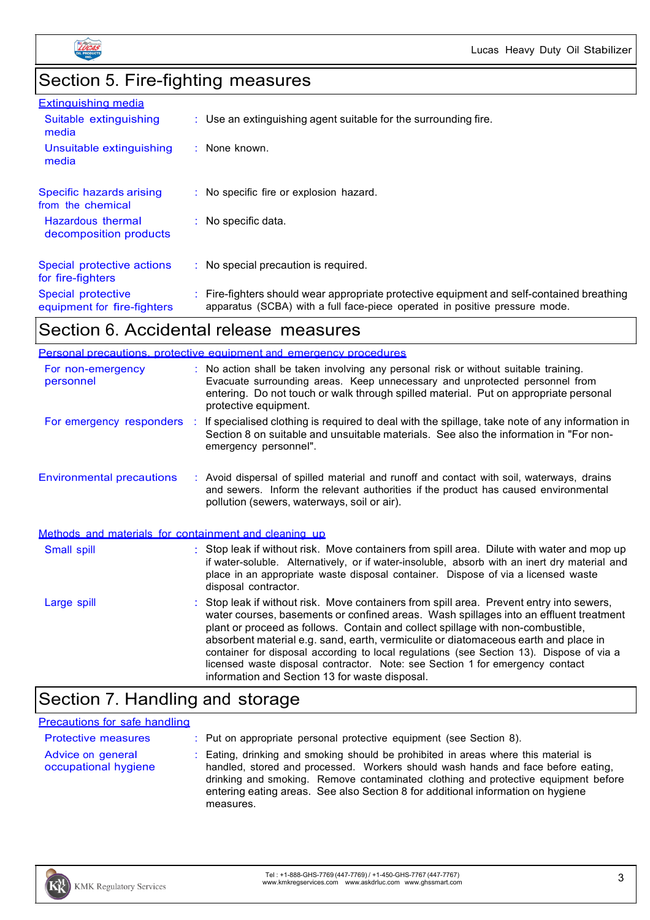

## Section 5. Fire-fighting measures

| <b>Extinguishing media</b>                        |                                                                                                                                                                          |
|---------------------------------------------------|--------------------------------------------------------------------------------------------------------------------------------------------------------------------------|
| Suitable extinguishing<br>media                   | $\therefore$ Use an extinguishing agent suitable for the surrounding fire.                                                                                               |
| Unsuitable extinguishing<br>media                 | : None known.                                                                                                                                                            |
| Specific hazards arising<br>from the chemical     | : No specific fire or explosion hazard.                                                                                                                                  |
| Hazardous thermal<br>decomposition products       | $\therefore$ No specific data.                                                                                                                                           |
| Special protective actions<br>for fire-fighters   | $\therefore$ No special precaution is required.                                                                                                                          |
| Special protective<br>equipment for fire-fighters | : Fire-fighters should wear appropriate protective equipment and self-contained breathing<br>apparatus (SCBA) with a full face-piece operated in positive pressure mode. |
|                                                   |                                                                                                                                                                          |

### Section 6. Accidental release measures

|                                                       | Personal precautions, protective equipment and emergency procedures                                                                                                                                                                                                                                                                                                                                                                                                                                                                                                                        |
|-------------------------------------------------------|--------------------------------------------------------------------------------------------------------------------------------------------------------------------------------------------------------------------------------------------------------------------------------------------------------------------------------------------------------------------------------------------------------------------------------------------------------------------------------------------------------------------------------------------------------------------------------------------|
| For non-emergency<br>personnel                        | : No action shall be taken involving any personal risk or without suitable training.<br>Evacuate surrounding areas. Keep unnecessary and unprotected personnel from<br>entering. Do not touch or walk through spilled material. Put on appropriate personal<br>protective equipment.                                                                                                                                                                                                                                                                                                       |
|                                                       | For emergency responders : If specialised clothing is required to deal with the spillage, take note of any information in<br>Section 8 on suitable and unsuitable materials. See also the information in "For non-<br>emergency personnel".                                                                                                                                                                                                                                                                                                                                                |
| <b>Environmental precautions</b>                      | : Avoid dispersal of spilled material and runoff and contact with soil, waterways, drains<br>and sewers. Inform the relevant authorities if the product has caused environmental<br>pollution (sewers, waterways, soil or air).                                                                                                                                                                                                                                                                                                                                                            |
| Methods and materials for containment and cleaning up |                                                                                                                                                                                                                                                                                                                                                                                                                                                                                                                                                                                            |
| Small spill                                           | : Stop leak if without risk. Move containers from spill area. Dilute with water and mop up<br>if water-soluble. Alternatively, or if water-insoluble, absorb with an inert dry material and<br>place in an appropriate waste disposal container. Dispose of via a licensed waste<br>disposal contractor.                                                                                                                                                                                                                                                                                   |
| Large spill                                           | : Stop leak if without risk. Move containers from spill area. Prevent entry into sewers,<br>water courses, basements or confined areas. Wash spillages into an effluent treatment<br>plant or proceed as follows. Contain and collect spillage with non-combustible,<br>absorbent material e.g. sand, earth, vermiculite or diatomaceous earth and place in<br>container for disposal according to local regulations (see Section 13). Dispose of via a<br>licensed waste disposal contractor. Note: see Section 1 for emergency contact<br>information and Section 13 for waste disposal. |

## Section 7. Handling and storage

#### Precautions for safe handling

| <b>Protective measures</b>                | : Put on appropriate personal protective equipment (see Section 8).                                                                                                                                                                                                                                                                                           |
|-------------------------------------------|---------------------------------------------------------------------------------------------------------------------------------------------------------------------------------------------------------------------------------------------------------------------------------------------------------------------------------------------------------------|
| Advice on general<br>occupational hygiene | : Eating, drinking and smoking should be prohibited in areas where this material is<br>handled, stored and processed. Workers should wash hands and face before eating,<br>drinking and smoking. Remove contaminated clothing and protective equipment before<br>entering eating areas. See also Section 8 for additional information on hygiene<br>measures. |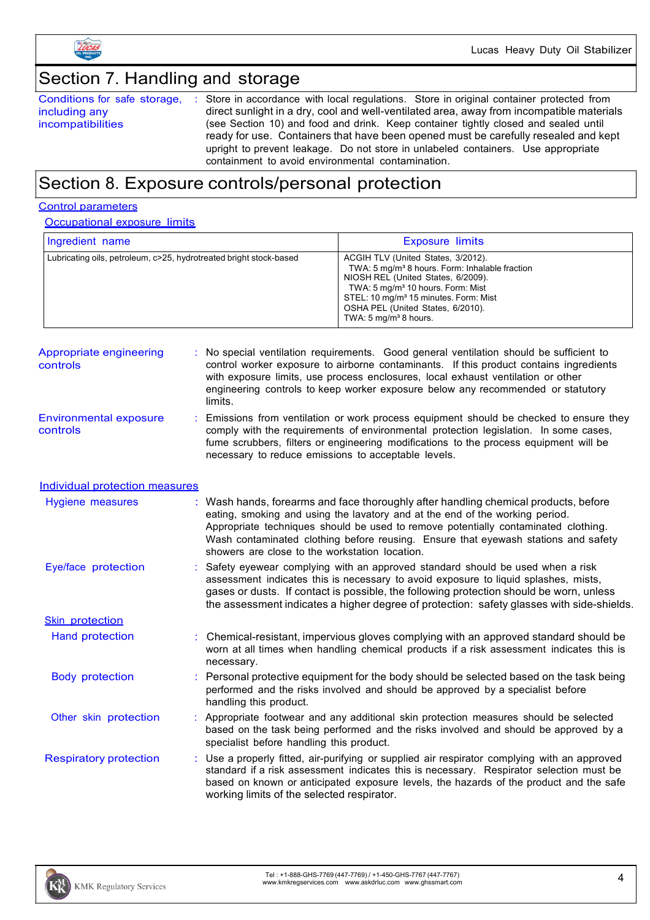

### Section 7. Handling and storage

Conditions for safe storage, including any incompatibilities : Store in accordance with local regulations. Store in original container protected from direct sunlight in a dry, cool and well-ventilated area, away from incompatible materials (see Section 10) and food and drink. Keep container tightly closed and sealed until ready for use. Containers that have been opened must be carefully resealed and kept upright to prevent leakage. Do not store in unlabeled containers. Use appropriate containment to avoid environmental contamination.

### Section 8. Exposure controls/personal protection

#### Control parameters

**Occupational exposure limits** 

| Ingredient name                                                    | <b>Exposure limits</b>                                                                                                                                                                                                                                                                                                |
|--------------------------------------------------------------------|-----------------------------------------------------------------------------------------------------------------------------------------------------------------------------------------------------------------------------------------------------------------------------------------------------------------------|
| Lubricating oils, petroleum, c>25, hydrotreated bright stock-based | ACGIH TLV (United States, 3/2012).<br>TWA: 5 mg/m <sup>3</sup> 8 hours. Form: Inhalable fraction<br>NIOSH REL (United States, 6/2009).<br>TWA: 5 mg/m <sup>3</sup> 10 hours. Form: Mist<br>STEL: 10 mg/m <sup>3</sup> 15 minutes. Form: Mist<br>OSHA PEL (United States, 6/2010).<br>TWA: $5 \text{ mg/m}^3$ 8 hours. |

| Appropriate engineering<br>controls       | : No special ventilation requirements. Good general ventilation should be sufficient to<br>control worker exposure to airborne contaminants. If this product contains ingredients<br>with exposure limits, use process enclosures, local exhaust ventilation or other<br>engineering controls to keep worker exposure below any recommended or statutory<br>limits. |
|-------------------------------------------|---------------------------------------------------------------------------------------------------------------------------------------------------------------------------------------------------------------------------------------------------------------------------------------------------------------------------------------------------------------------|
| <b>Environmental exposure</b><br>controls | : Emissions from ventilation or work process equipment should be checked to ensure they<br>comply with the requirements of environmental protection legislation. In some cases,                                                                                                                                                                                     |

| .<br>าtrols | comply with the requirements of environmental protection legislation. In some cases,  |
|-------------|---------------------------------------------------------------------------------------|
|             | fume scrubbers, filters or engineering modifications to the process equipment will be |
|             | necessary to reduce emissions to acceptable levels.                                   |

#### Individual protection measures

| Hygiene measures              | Wash hands, forearms and face thoroughly after handling chemical products, before<br>eating, smoking and using the lavatory and at the end of the working period.<br>Appropriate techniques should be used to remove potentially contaminated clothing.<br>Wash contaminated clothing before reusing. Ensure that eyewash stations and safety<br>showers are close to the workstation location. |
|-------------------------------|-------------------------------------------------------------------------------------------------------------------------------------------------------------------------------------------------------------------------------------------------------------------------------------------------------------------------------------------------------------------------------------------------|
| Eye/face protection           | Safety eyewear complying with an approved standard should be used when a risk<br>assessment indicates this is necessary to avoid exposure to liquid splashes, mists,<br>gases or dusts. If contact is possible, the following protection should be worn, unless<br>the assessment indicates a higher degree of protection: safety glasses with side-shields.                                    |
| <b>Skin protection</b>        |                                                                                                                                                                                                                                                                                                                                                                                                 |
| Hand protection               | : Chemical-resistant, impervious gloves complying with an approved standard should be<br>worn at all times when handling chemical products if a risk assessment indicates this is<br>necessary.                                                                                                                                                                                                 |
| <b>Body protection</b>        | Personal protective equipment for the body should be selected based on the task being<br>performed and the risks involved and should be approved by a specialist before<br>handling this product.                                                                                                                                                                                               |
| Other skin protection         | Appropriate footwear and any additional skin protection measures should be selected<br>based on the task being performed and the risks involved and should be approved by a<br>specialist before handling this product.                                                                                                                                                                         |
| <b>Respiratory protection</b> | : Use a properly fitted, air-purifying or supplied air respirator complying with an approved<br>standard if a risk assessment indicates this is necessary. Respirator selection must be<br>based on known or anticipated exposure levels, the hazards of the product and the safe<br>working limits of the selected respirator.                                                                 |

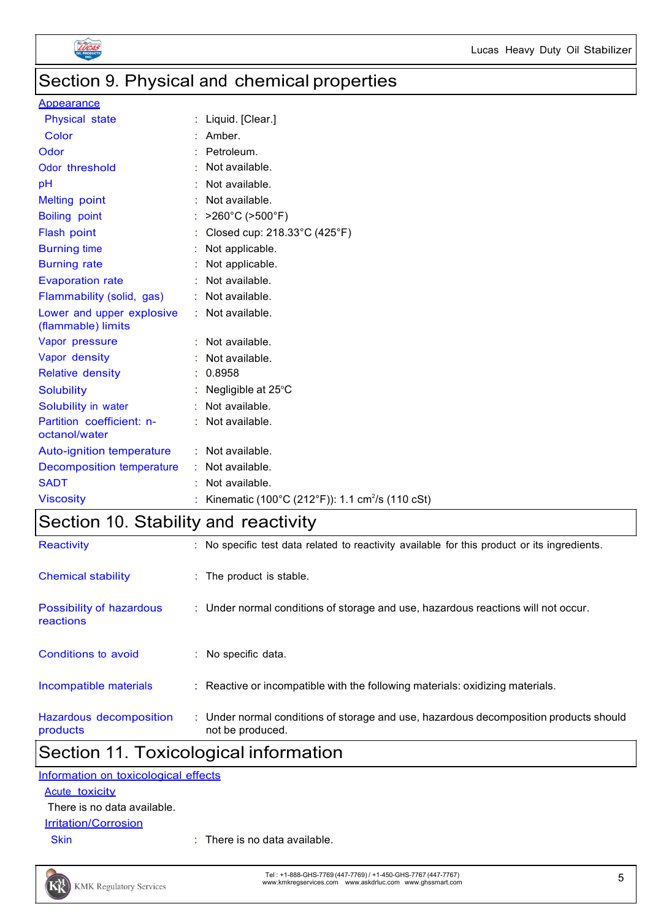

### Section 9. Physical and chemical properties

#### **Appearance**

| <b>Physical state</b>                           | : Liquid. [Clear.]                                          |
|-------------------------------------------------|-------------------------------------------------------------|
| Color                                           | : Amber.                                                    |
| Odor                                            | Petroleum.                                                  |
| Odor threshold                                  | Not available.                                              |
| pH                                              | Not available.                                              |
| <b>Melting point</b>                            | Not available.                                              |
| <b>Boiling point</b>                            | >260°C (>500°F)                                             |
| Flash point                                     | Closed cup: 218.33°C (425°F)                                |
| <b>Burning time</b>                             | Not applicable.                                             |
| <b>Burning rate</b>                             | Not applicable.                                             |
| <b>Evaporation rate</b>                         | : Not available.                                            |
| Flammability (solid, gas)                       | : Not available.                                            |
| Lower and upper explosive<br>(flammable) limits | : Not available.                                            |
| Vapor pressure                                  | Not available.                                              |
| Vapor density                                   | Not available.                                              |
| <b>Relative density</b>                         | : 0.8958                                                    |
| <b>Solubility</b>                               | Negligible at 25°C                                          |
| Solubility in water                             | $:$ Not available.                                          |
| Partition coefficient: n-<br>octanol/water      | Not available.                                              |
| Auto-ignition temperature                       | : Not available.                                            |
| <b>Decomposition temperature</b>                | : Not available.                                            |
| <b>SADT</b>                                     | Not available.                                              |
| <b>Viscosity</b>                                | Kinematic (100°C (212°F)): 1.1 cm <sup>2</sup> /s (110 cSt) |

### Section 10. Stability and reactivity

| Reactivity                            | : No specific test data related to reactivity available for this product or its ingredients.              |
|---------------------------------------|-----------------------------------------------------------------------------------------------------------|
| <b>Chemical stability</b>             | : The product is stable.                                                                                  |
| Possibility of hazardous<br>reactions | : Under normal conditions of storage and use, hazardous reactions will not occur.                         |
| Conditions to avoid                   | $:$ No specific data.                                                                                     |
| Incompatible materials                | : Reactive or incompatible with the following materials: oxidizing materials.                             |
| Hazardous decomposition<br>products   | : Under normal conditions of storage and use, hazardous decomposition products should<br>not be produced. |

### Section 11. Toxicological information

| Information on toxicological effects |  |
|--------------------------------------|--|
| Acute toxicity                       |  |
| There is no data available.          |  |

### **Irritation/Corrosion**

Skin : There is no data available.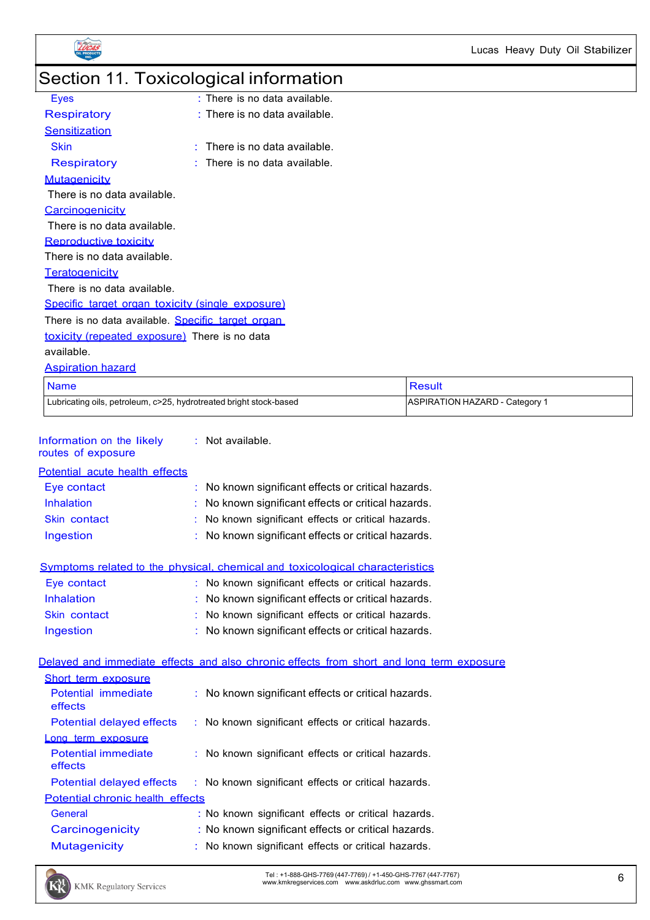

## Section 11. Toxicological information

| Eyes                                                    | $\cdot$ There is no data available. |  |
|---------------------------------------------------------|-------------------------------------|--|
| <b>Respiratory</b>                                      | $:$ There is no data available.     |  |
| Sensitization                                           |                                     |  |
| <b>Skin</b>                                             | There is no data available.         |  |
| <b>Respiratory</b>                                      | There is no data available.         |  |
| <b>Mutagenicity</b>                                     |                                     |  |
| There is no data available.                             |                                     |  |
| <b>Carcinogenicity</b>                                  |                                     |  |
| There is no data available.                             |                                     |  |
| Reproductive toxicity                                   |                                     |  |
| There is no data available.                             |                                     |  |
| Teratogenicity                                          |                                     |  |
| There is no data available.                             |                                     |  |
| <u>Specific target organ toxicity (single exposure)</u> |                                     |  |
| There is no data available. Specific target organ       |                                     |  |
| toxicity (repeated exposure) There is no data           |                                     |  |
| available.                                              |                                     |  |
|                                                         |                                     |  |

Aspiration hazard

| <b>Name</b>                                                        | Result                         |
|--------------------------------------------------------------------|--------------------------------|
| Lubricating oils, petroleum, c>25, hydrotreated bright stock-based | ASPIRATION HAZARD - Category 1 |

| Information on the likely      | $:$ Not available. |
|--------------------------------|--------------------|
| routes of exposure             |                    |
| Potential acute health effects |                    |

| r oloniidi avato noditii onoolo |                                                     |
|---------------------------------|-----------------------------------------------------|
| Eye contact                     | : No known significant effects or critical hazards. |
| <b>Inhalation</b>               | : No known significant effects or critical hazards. |
| Skin contact                    | : No known significant effects or critical hazards. |
| Ingestion                       | : No known significant effects or critical hazards. |
|                                 |                                                     |

| Symptoms related to the physical, chemical and toxicological characteristics |  |  |  |
|------------------------------------------------------------------------------|--|--|--|
|------------------------------------------------------------------------------|--|--|--|

| Eye contact       | : No known significant effects or critical hazards. |
|-------------------|-----------------------------------------------------|
| <b>Inhalation</b> | : No known significant effects or critical hazards. |
| Skin contact      | : No known significant effects or critical hazards. |
| Ingestion         | : No known significant effects or critical hazards. |

Delayed and immediate effects and also chronic effects from short and long term exposure

| Short term exposure                     |                                                     |
|-----------------------------------------|-----------------------------------------------------|
| Potential immediate<br>effects          | : No known significant effects or critical hazards. |
| Potential delayed effects               | : No known significant effects or critical hazards. |
| Long term exposure                      |                                                     |
| <b>Potential immediate</b><br>effects   | : No known significant effects or critical hazards. |
| Potential delayed effects               | : No known significant effects or critical hazards. |
| <b>Potential chronic health effects</b> |                                                     |
| General                                 | : No known significant effects or critical hazards. |
| Carcinogenicity                         | : No known significant effects or critical hazards. |
| <b>Mutagenicity</b>                     | : No known significant effects or critical hazards. |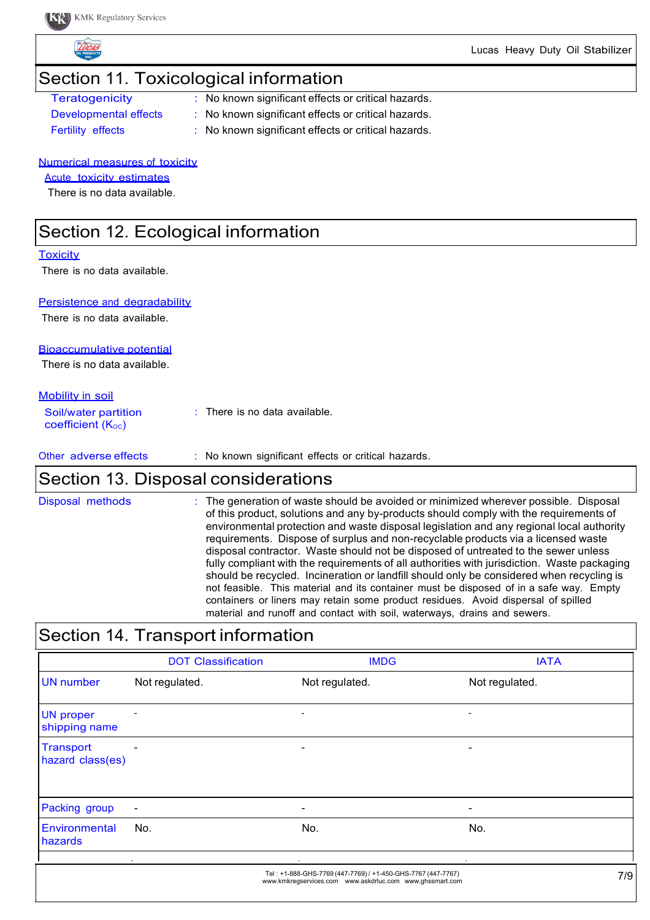Lucas Heavy Duty Oil Stabilizer

## Section 11. Toxicological information Teratogenicity : No known significant effects or critical hazards. Developmental effects : No known significant effects or critical hazards. Fertility effects : No known significant effects or critical hazards. Numerical measures of toxicity Acute toxicity estimates There is no data available. Section 12. Ecological information **Toxicity** There is no data available. Persistence and degradability There is no data available. Bioaccumulative potential There is no data available.

Mobility in soil

| Soil/water partition<br>coefficient $(K_{\text{oc}})$ | $\therefore$ There is no data available. |
|-------------------------------------------------------|------------------------------------------|
|                                                       |                                          |

Other adverse effects : No known significant effects or critical hazards.

### Section 13. Disposal considerations

Disposal methods : The generation of waste should be avoided or minimized wherever possible. Disposal of this product, solutions and any by-products should comply with the requirements of environmental protection and waste disposal legislation and any regional local authority requirements. Dispose of surplus and non-recyclable products via a licensed waste disposal contractor. Waste should not be disposed of untreated to the sewer unless fully compliant with the requirements of all authorities with jurisdiction. Waste packaging should be recycled. Incineration or landfill should only be considered when recycling is not feasible. This material and its container must be disposed of in a safe way. Empty containers or liners may retain some product residues. Avoid dispersal of spilled material and runoff and contact with soil, waterways, drains and sewers.

### Section 14. Transport information DOT Classification **IMDG** IMDG UN number Not regulated. Not regulated. Not regulated. Not regulated. UN proper - - shipping name **Transport** hazard class(es) Packing group - - - **Environmental** hazards No. No. No. Tel : +1-888-GHS-7769 (447-7769) / +1-450-GHS-7767 (447-7767) www.kmkregservices.com www.askdrluc.com www.ghssmart.com 7/9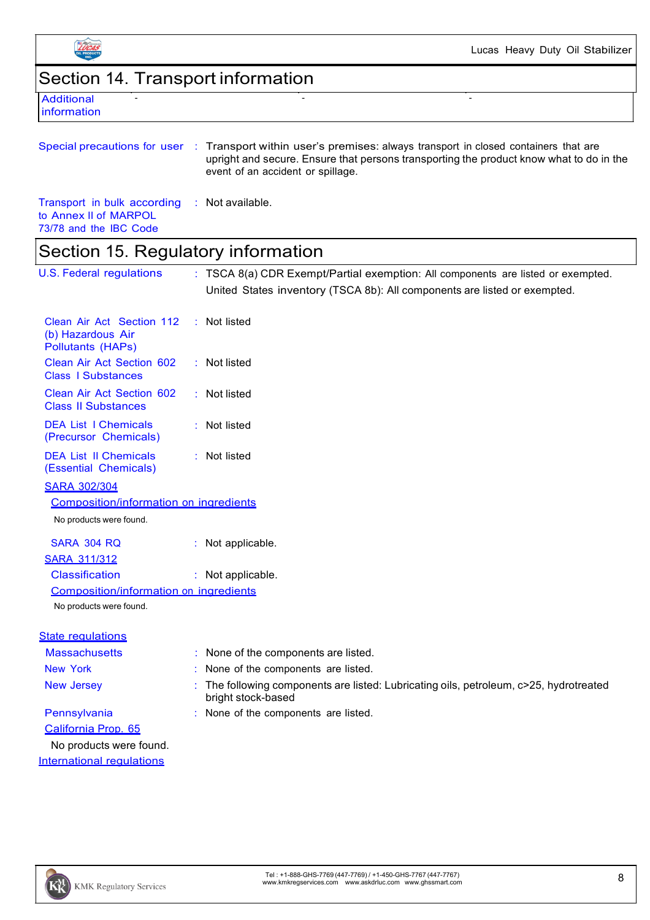

Lucas Heavy Duty Oil Stabilizer

Section 14. Transport information

| Additional  |
|-------------|
| information |

|                                                                       | Special precautions for user : Transport within user's premises: always transport in closed containers that are<br>upright and secure. Ensure that persons transporting the product know what to do in the<br>event of an accident or spillage. |
|-----------------------------------------------------------------------|-------------------------------------------------------------------------------------------------------------------------------------------------------------------------------------------------------------------------------------------------|
| Transport in bulk according : Not available.<br>to Annex II of MARPOL |                                                                                                                                                                                                                                                 |

- - -

73/78 and the IBC Code

## Section 15. Regulatory information

| <b>U.S. Federal regulations</b>                                            | : TSCA 8(a) CDR Exempt/Partial exemption: All components are listed or exempted.                           |
|----------------------------------------------------------------------------|------------------------------------------------------------------------------------------------------------|
|                                                                            | United States inventory (TSCA 8b): All components are listed or exempted.                                  |
| Clean Air Act Section 112<br>(b) Hazardous Air<br><b>Pollutants (HAPs)</b> | : Not listed                                                                                               |
| Clean Air Act Section 602<br><b>Class I Substances</b>                     | : Not listed                                                                                               |
| Clean Air Act Section 602<br><b>Class II Substances</b>                    | : Not listed                                                                                               |
| <b>DEA List I Chemicals</b><br>(Precursor Chemicals)                       | : Not listed                                                                                               |
| <b>DEA List II Chemicals</b><br>(Essential Chemicals)                      | : Not listed                                                                                               |
| <b>SARA 302/304</b>                                                        |                                                                                                            |
| Composition/information on ingredients                                     |                                                                                                            |
| No products were found.                                                    |                                                                                                            |
| <b>SARA 304 RQ</b>                                                         | : Not applicable.                                                                                          |
| <b>SARA 311/312</b>                                                        |                                                                                                            |
| <b>Classification</b>                                                      | : Not applicable.                                                                                          |
| Composition/information on ingredients                                     |                                                                                                            |
| No products were found.                                                    |                                                                                                            |
| <b>State regulations</b>                                                   |                                                                                                            |
| <b>Massachusetts</b>                                                       | : None of the components are listed.                                                                       |
| <b>New York</b>                                                            | None of the components are listed.                                                                         |
| <b>New Jersey</b>                                                          | The following components are listed: Lubricating oils, petroleum, c>25, hydrotreated<br>bright stock-based |
| Pennsylvania                                                               | : None of the components are listed.                                                                       |
| California Prop. 65                                                        |                                                                                                            |
| No products were found.                                                    |                                                                                                            |
| <b>International requiations</b>                                           |                                                                                                            |